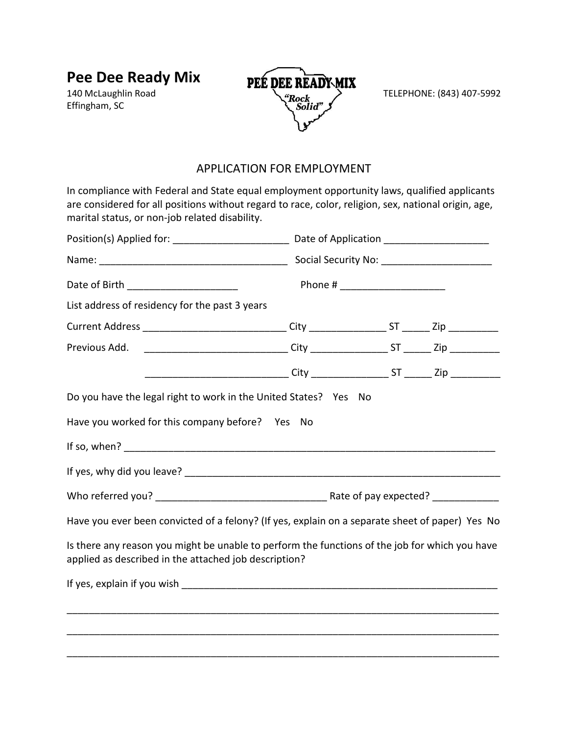**Pee Dee Ready Mix** 140 McLaughlin Road

Effingham, SC



### APPLICATION FOR EMPLOYMENT

In compliance with Federal and State equal employment opportunity laws, qualified applicants are considered for all positions without regard to race, color, religion, sex, national origin, age, marital status, or non-job related disability.

| Date of Birth _________________________                                                                                                                 |                                                                                         |  |  |  |
|---------------------------------------------------------------------------------------------------------------------------------------------------------|-----------------------------------------------------------------------------------------|--|--|--|
| List address of residency for the past 3 years                                                                                                          |                                                                                         |  |  |  |
| Current Address ______________________________City __________________ST _______Zip ________________                                                     |                                                                                         |  |  |  |
| Previous Add.                                                                                                                                           | __________________________________City _____________________ST ________ Zip ___________ |  |  |  |
|                                                                                                                                                         | __________________________________City ____________________ST ________ Zip ____________ |  |  |  |
| Do you have the legal right to work in the United States? Yes No                                                                                        |                                                                                         |  |  |  |
| Have you worked for this company before? Yes No                                                                                                         |                                                                                         |  |  |  |
|                                                                                                                                                         |                                                                                         |  |  |  |
|                                                                                                                                                         |                                                                                         |  |  |  |
|                                                                                                                                                         |                                                                                         |  |  |  |
| Have you ever been convicted of a felony? (If yes, explain on a separate sheet of paper) Yes No                                                         |                                                                                         |  |  |  |
| Is there any reason you might be unable to perform the functions of the job for which you have<br>applied as described in the attached job description? |                                                                                         |  |  |  |
|                                                                                                                                                         |                                                                                         |  |  |  |
|                                                                                                                                                         |                                                                                         |  |  |  |
|                                                                                                                                                         |                                                                                         |  |  |  |
|                                                                                                                                                         |                                                                                         |  |  |  |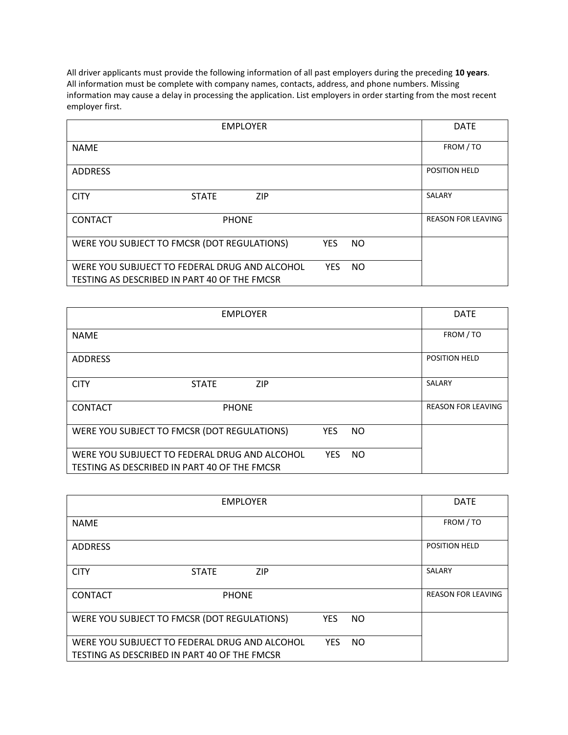All driver applicants must provide the following information of all past employers during the preceding **10 years**. All information must be complete with company names, contacts, address, and phone numbers. Missing information may cause a delay in processing the application. List employers in order starting from the most recent employer first.

| <b>EMPLOYER</b>                                                                               | <b>DATE</b>             |                           |
|-----------------------------------------------------------------------------------------------|-------------------------|---------------------------|
| <b>NAME</b>                                                                                   |                         | FROM / TO                 |
| <b>ADDRESS</b>                                                                                |                         | POSITION HELD             |
| <b>CITY</b><br><b>ZIP</b><br><b>STATE</b>                                                     |                         | SALARY                    |
| <b>CONTACT</b><br><b>PHONE</b>                                                                |                         | <b>REASON FOR LEAVING</b> |
| WERE YOU SUBJECT TO FMCSR (DOT REGULATIONS)                                                   | <b>YES</b><br>NO.       |                           |
| WERE YOU SUBJUECT TO FEDERAL DRUG AND ALCOHOL<br>TESTING AS DESCRIBED IN PART 40 OF THE FMCSR | <b>YES</b><br><b>NO</b> |                           |

| <b>EMPLOYER</b> |                                                                                               |            | <b>DATE</b> |                           |
|-----------------|-----------------------------------------------------------------------------------------------|------------|-------------|---------------------------|
| <b>NAME</b>     |                                                                                               |            |             | FROM / TO                 |
| <b>ADDRESS</b>  |                                                                                               |            |             | <b>POSITION HELD</b>      |
| <b>CITY</b>     | <b>ZIP</b><br><b>STATE</b>                                                                    |            |             | SALARY                    |
| <b>CONTACT</b>  | <b>PHONE</b>                                                                                  |            |             | <b>REASON FOR LEAVING</b> |
|                 | WERE YOU SUBJECT TO FMCSR (DOT REGULATIONS)                                                   | <b>YES</b> | NO.         |                           |
|                 | WERE YOU SUBJUECT TO FEDERAL DRUG AND ALCOHOL<br>TESTING AS DESCRIBED IN PART 40 OF THE FMCSR | <b>YES</b> | NO.         |                           |

| <b>EMPLOYER</b> |                                                                                               |            |           |  | <b>DATE</b>               |
|-----------------|-----------------------------------------------------------------------------------------------|------------|-----------|--|---------------------------|
| <b>NAME</b>     |                                                                                               |            |           |  | FROM / TO                 |
| <b>ADDRESS</b>  |                                                                                               |            |           |  | <b>POSITION HELD</b>      |
| <b>CITY</b>     | <b>ZIP</b><br><b>STATE</b>                                                                    |            |           |  | SALARY                    |
| <b>CONTACT</b>  | <b>PHONE</b>                                                                                  |            |           |  | <b>REASON FOR LEAVING</b> |
|                 | WERE YOU SUBJECT TO FMCSR (DOT REGULATIONS)                                                   | <b>YES</b> | <b>NO</b> |  |                           |
|                 | WERE YOU SUBJUECT TO FEDERAL DRUG AND ALCOHOL<br>TESTING AS DESCRIBED IN PART 40 OF THE FMCSR | <b>YES</b> | <b>NO</b> |  |                           |
|                 |                                                                                               |            |           |  |                           |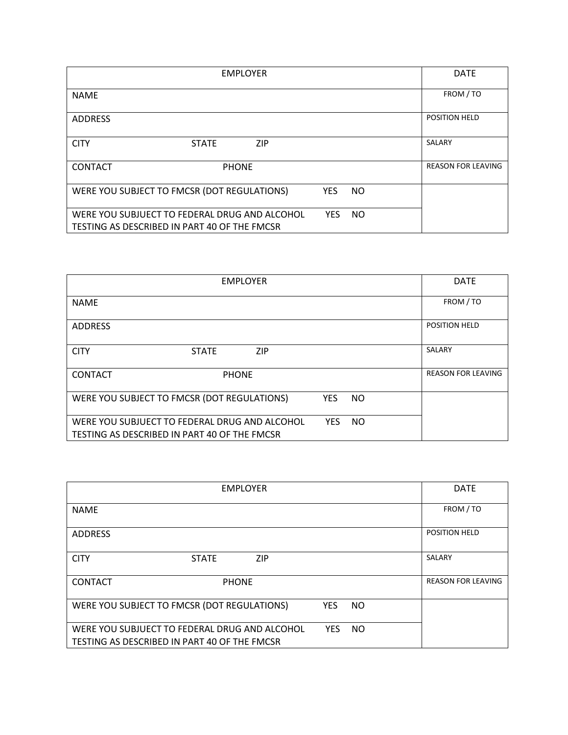|                | <b>EMPLOYER</b>                                                                               |            |     | <b>DATE</b>               |
|----------------|-----------------------------------------------------------------------------------------------|------------|-----|---------------------------|
| <b>NAME</b>    |                                                                                               |            |     | FROM / TO                 |
| <b>ADDRESS</b> |                                                                                               |            |     | <b>POSITION HELD</b>      |
| <b>CITY</b>    | <b>ZIP</b><br><b>STATE</b>                                                                    |            |     | SALARY                    |
| <b>CONTACT</b> | <b>PHONE</b>                                                                                  |            |     | <b>REASON FOR LEAVING</b> |
|                | WERE YOU SUBJECT TO FMCSR (DOT REGULATIONS)                                                   | <b>YES</b> | NO. |                           |
|                | WERE YOU SUBJUECT TO FEDERAL DRUG AND ALCOHOL<br>TESTING AS DESCRIBED IN PART 40 OF THE FMCSR | <b>YES</b> | NO. |                           |

|                | <b>EMPLOYER</b>                                                                               |            |           | <b>DATE</b>               |
|----------------|-----------------------------------------------------------------------------------------------|------------|-----------|---------------------------|
| <b>NAME</b>    |                                                                                               |            |           | FROM / TO                 |
| <b>ADDRESS</b> |                                                                                               |            |           | POSITION HELD             |
| <b>CITY</b>    | <b>ZIP</b><br><b>STATE</b>                                                                    |            |           | SALARY                    |
| <b>CONTACT</b> | <b>PHONE</b>                                                                                  |            |           | <b>REASON FOR LEAVING</b> |
|                | WERE YOU SUBJECT TO FMCSR (DOT REGULATIONS)                                                   | <b>YES</b> | NO.       |                           |
|                | WERE YOU SUBJUECT TO FEDERAL DRUG AND ALCOHOL<br>TESTING AS DESCRIBED IN PART 40 OF THE FMCSR | <b>YES</b> | <b>NO</b> |                           |

| <b>EMPLOYER</b> |                                                                                               |            |           | <b>DATE</b> |                           |
|-----------------|-----------------------------------------------------------------------------------------------|------------|-----------|-------------|---------------------------|
| <b>NAME</b>     |                                                                                               |            |           |             | FROM / TO                 |
| <b>ADDRESS</b>  |                                                                                               |            |           |             | <b>POSITION HELD</b>      |
| <b>CITY</b>     | <b>ZIP</b><br><b>STATE</b>                                                                    |            |           |             | SALARY                    |
| <b>CONTACT</b>  | <b>PHONE</b>                                                                                  |            |           |             | <b>REASON FOR LEAVING</b> |
|                 | WERE YOU SUBJECT TO FMCSR (DOT REGULATIONS)                                                   | <b>YES</b> | NO.       |             |                           |
|                 | WERE YOU SUBJUECT TO FEDERAL DRUG AND ALCOHOL<br>TESTING AS DESCRIBED IN PART 40 OF THE FMCSR | <b>YES</b> | <b>NO</b> |             |                           |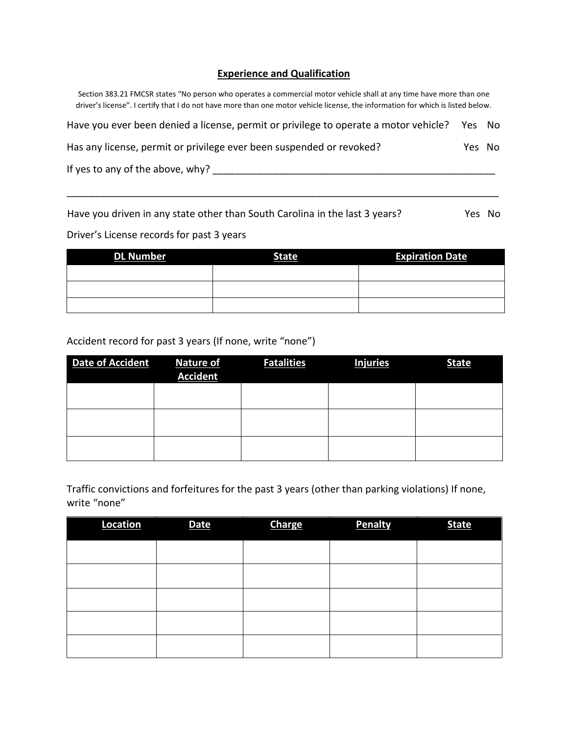#### **Experience and Qualification**

Section 383.21 FMCSR states "No person who operates a commercial motor vehicle shall at any time have more than one driver's license". I certify that I do not have more than one motor vehicle license, the information for which is listed below.

| Have you ever been denied a license, permit or privilege to operate a motor vehicle? | Yes No |  |
|--------------------------------------------------------------------------------------|--------|--|
| Has any license, permit or privilege ever been suspended or revoked?                 | Yes No |  |
| If yes to any of the above, why?                                                     |        |  |

Have you driven in any state other than South Carolina in the last 3 years? Yes No

\_\_\_\_\_\_\_\_\_\_\_\_\_\_\_\_\_\_\_\_\_\_\_\_\_\_\_\_\_\_\_\_\_\_\_\_\_\_\_\_\_\_\_\_\_\_\_\_\_\_\_\_\_\_\_\_\_\_\_\_\_\_\_\_\_\_\_\_\_\_\_\_\_\_\_\_\_\_

Driver's License records for past 3 years

| <b>DL Number</b> | <b>State</b> | <b>Expiration Date</b> |
|------------------|--------------|------------------------|
|                  |              |                        |
|                  |              |                        |
|                  |              |                        |

### Accident record for past 3 years (If none, write "none")

| <b>Date of Accident</b> | <b>Nature of</b><br><b>Accident</b> | <b>Fatalities</b> | <b>Injuries</b> | <b>State</b> |
|-------------------------|-------------------------------------|-------------------|-----------------|--------------|
|                         |                                     |                   |                 |              |
|                         |                                     |                   |                 |              |
|                         |                                     |                   |                 |              |

Traffic convictions and forfeitures for the past 3 years (other than parking violations) If none, write "none"

| Location | <b>Date</b> | <b>Charge</b> | <b>Penalty</b> | <b>State</b> |
|----------|-------------|---------------|----------------|--------------|
|          |             |               |                |              |
|          |             |               |                |              |
|          |             |               |                |              |
|          |             |               |                |              |
|          |             |               |                |              |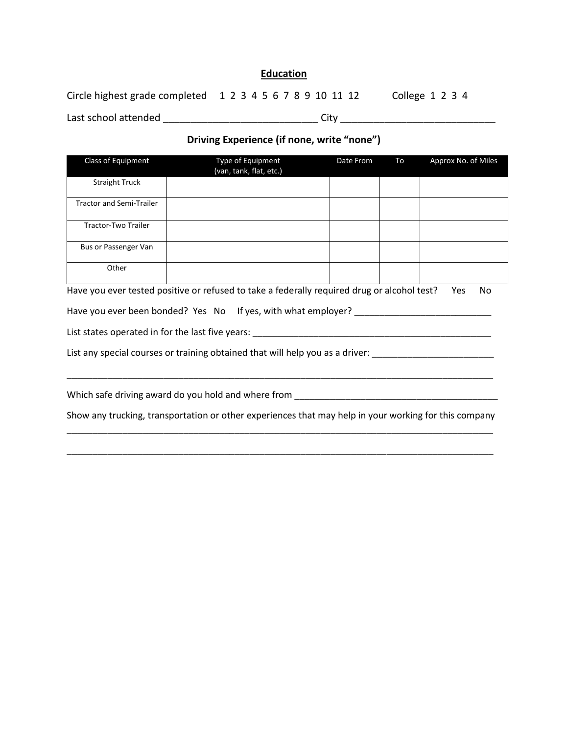### **Education**

| Circle highest grade completed 1 2 3 4 5 6 7 8 9 10 11 12 |      | College $1\ 2\ 3\ 4$ |
|-----------------------------------------------------------|------|----------------------|
| Last school attended                                      | Citv |                      |

### **Driving Experience (if none, write "none")**

| Class of Equipment              | Type of Equipment<br>(van, tank, flat, etc.)                                                | Date From | To | Approx No. of Miles |
|---------------------------------|---------------------------------------------------------------------------------------------|-----------|----|---------------------|
| <b>Straight Truck</b>           |                                                                                             |           |    |                     |
| <b>Tractor and Semi-Trailer</b> |                                                                                             |           |    |                     |
| Tractor-Two Trailer             |                                                                                             |           |    |                     |
| Bus or Passenger Van            |                                                                                             |           |    |                     |
| Other                           |                                                                                             |           |    |                     |
|                                 | Have you ever tested positive or refused to take a federally required drug or alcohol test? |           |    | Yes<br>No           |
|                                 | Have you ever been bonded? Yes No If yes, with what employer?                               |           |    |                     |
|                                 | List states operated in for the last five years:                                            |           |    |                     |
|                                 | List any special courses or training obtained that will help you as a driver:               |           |    |                     |

Which safe driving award do you hold and where from \_\_\_\_\_\_\_\_\_\_\_\_\_\_\_\_\_\_\_\_\_\_\_\_\_\_\_\_\_\_\_\_\_\_\_\_\_\_\_\_

Show any trucking, transportation or other experiences that may help in your working for this company \_\_\_\_\_\_\_\_\_\_\_\_\_\_\_\_\_\_\_\_\_\_\_\_\_\_\_\_\_\_\_\_\_\_\_\_\_\_\_\_\_\_\_\_\_\_\_\_\_\_\_\_\_\_\_\_\_\_\_\_\_\_\_\_\_\_\_\_\_\_\_\_\_\_\_\_\_\_\_\_\_\_\_\_

\_\_\_\_\_\_\_\_\_\_\_\_\_\_\_\_\_\_\_\_\_\_\_\_\_\_\_\_\_\_\_\_\_\_\_\_\_\_\_\_\_\_\_\_\_\_\_\_\_\_\_\_\_\_\_\_\_\_\_\_\_\_\_\_\_\_\_\_\_\_\_\_\_\_\_\_\_\_\_\_\_\_\_\_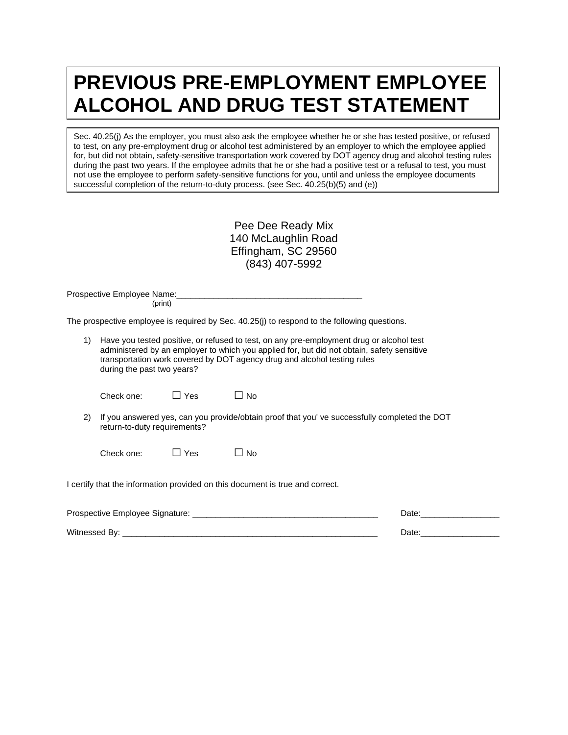# **PREVIOUS PRE-EMPLOYMENT EMPLOYEE ALCOHOL AND DRUG TEST STATEMENT**

Sec. 40.25(j) As the employer, you must also ask the employee whether he or she has tested positive, or refused to test, on any pre-employment drug or alcohol test administered by an employer to which the employee applied for, but did not obtain, safety-sensitive transportation work covered by DOT agency drug and alcohol testing rules during the past two years. If the employee admits that he or she had a positive test or a refusal to test, you must not use the employee to perform safety-sensitive functions for you, until and unless the employee documents successful completion of the return-to-duty process. (see Sec. 40.25(b)(5) and (e))

| Pee Dee Ready Mix   |
|---------------------|
| 140 McLaughlin Road |
| Effingham, SC 29560 |
| (843) 407-5992      |

Prospective Employee Name: (print)

The prospective employee is required by Sec. 40.25(j) to respond to the following questions.

1) Have you tested positive, or refused to test, on any pre-employment drug or alcohol test administered by an employer to which you applied for, but did not obtain, safety sensitive transportation work covered by DOT agency drug and alcohol testing rules during the past two years?

| Check one: | $\Box$ Yes | $\Box$ No |
|------------|------------|-----------|
|            |            |           |

- 
- 2) If you answered yes, can you provide/obtain proof that you' ve successfully completed the DOT return-to-duty requirements?

Check one:  $\square$  Yes  $\square$  No

I certify that the information provided on this document is true and correct.

| Prospective Employee Signature: | Date |
|---------------------------------|------|
| Witnessed By:                   | Date |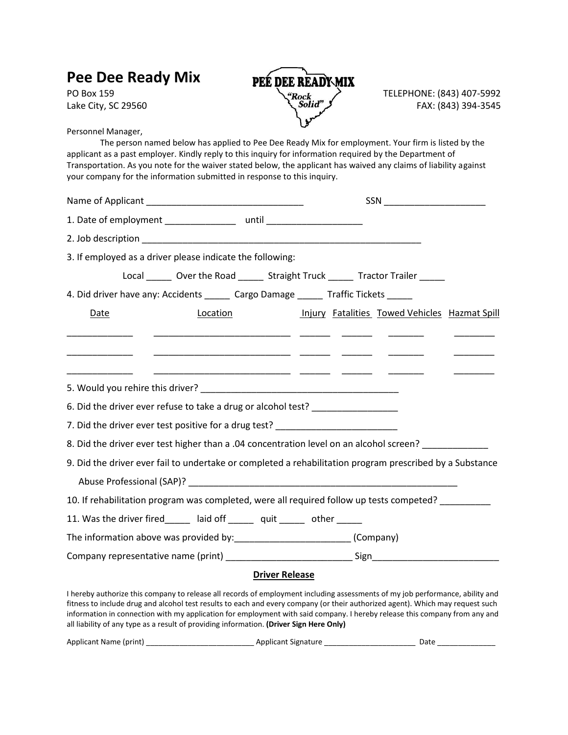| Pee Dee Ready Mix<br>PO Box 159<br>Lake City, SC 29560                                                                                                                                                                                                                                                                                                                                                                               | PEÉ DEE READYMIX<br>"Rock<br>\{\frac{Solid}}                                        | TELEPHONE: (843) 407-5992<br>FAX: (843) 394-3545 |
|--------------------------------------------------------------------------------------------------------------------------------------------------------------------------------------------------------------------------------------------------------------------------------------------------------------------------------------------------------------------------------------------------------------------------------------|-------------------------------------------------------------------------------------|--------------------------------------------------|
| Personnel Manager,<br>The person named below has applied to Pee Dee Ready Mix for employment. Your firm is listed by the<br>applicant as a past employer. Kindly reply to this inquiry for information required by the Department of<br>Transportation. As you note for the waiver stated below, the applicant has waived any claims of liability against<br>your company for the information submitted in response to this inquiry. |                                                                                     |                                                  |
|                                                                                                                                                                                                                                                                                                                                                                                                                                      |                                                                                     | SSN _________________________                    |
| 1. Date of employment ___________________ until ________________________________                                                                                                                                                                                                                                                                                                                                                     |                                                                                     |                                                  |
|                                                                                                                                                                                                                                                                                                                                                                                                                                      |                                                                                     |                                                  |
| 3. If employed as a driver please indicate the following:                                                                                                                                                                                                                                                                                                                                                                            |                                                                                     |                                                  |
|                                                                                                                                                                                                                                                                                                                                                                                                                                      | Local ________ Over the Road ________ Straight Truck _______ Tractor Trailer ______ |                                                  |
| 4. Did driver have any: Accidents ______ Cargo Damage ______ Traffic Tickets _____                                                                                                                                                                                                                                                                                                                                                   |                                                                                     |                                                  |
| Location<br><b>Date</b>                                                                                                                                                                                                                                                                                                                                                                                                              |                                                                                     | Injury Fatalities Towed Vehicles Hazmat Spill    |
|                                                                                                                                                                                                                                                                                                                                                                                                                                      |                                                                                     |                                                  |
| 6. Did the driver ever refuse to take a drug or alcohol test? __________________                                                                                                                                                                                                                                                                                                                                                     |                                                                                     |                                                  |
| 7. Did the driver ever test positive for a drug test? __________________________                                                                                                                                                                                                                                                                                                                                                     |                                                                                     |                                                  |
| 8. Did the driver ever test higher than a .04 concentration level on an alcohol screen? ____________                                                                                                                                                                                                                                                                                                                                 |                                                                                     |                                                  |
| 9. Did the driver ever fail to undertake or completed a rehabilitation program prescribed by a Substance                                                                                                                                                                                                                                                                                                                             |                                                                                     |                                                  |
| Abuse Professional (SAP)?                                                                                                                                                                                                                                                                                                                                                                                                            |                                                                                     |                                                  |
| 10. If rehabilitation program was completed, were all required follow up tests competed?                                                                                                                                                                                                                                                                                                                                             |                                                                                     |                                                  |
| 11. Was the driver fired laid off quit other                                                                                                                                                                                                                                                                                                                                                                                         |                                                                                     |                                                  |
| The information above was provided by: ___________________________(Company)                                                                                                                                                                                                                                                                                                                                                          |                                                                                     |                                                  |
|                                                                                                                                                                                                                                                                                                                                                                                                                                      |                                                                                     |                                                  |
|                                                                                                                                                                                                                                                                                                                                                                                                                                      | <b>Driver Release</b>                                                               |                                                  |
| I hereby authorize this company to release all records of employment including assessments of my job performance, ability and<br>fitness to include drug and alcohol test results to each and every company (or their authorized agent). Which may request such                                                                                                                                                                      |                                                                                     |                                                  |

fitness to include drug and alcohol test results to each and every company (or their authorized agent). Which may request such information in connection with my application for employment with said company. I hereby release this company from any and all liability of any type as a result of providing information. **(Driver Sign Here Only)**

| <b>Applicant Name</b><br>: Inrint) ۱<br>signat.<br>$\sim$<br>. н<br> |  |
|----------------------------------------------------------------------|--|
|----------------------------------------------------------------------|--|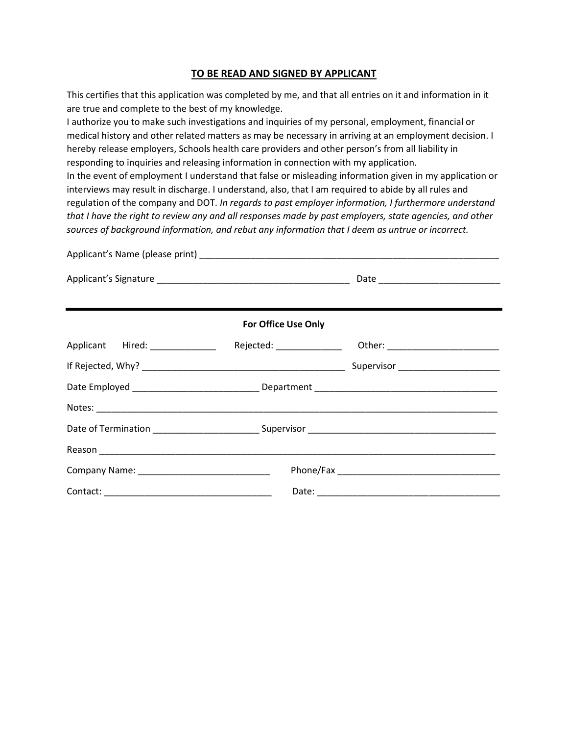#### **TO BE READ AND SIGNED BY APPLICANT**

This certifies that this application was completed by me, and that all entries on it and information in it are true and complete to the best of my knowledge.

I authorize you to make such investigations and inquiries of my personal, employment, financial or medical history and other related matters as may be necessary in arriving at an employment decision. I hereby release employers, Schools health care providers and other person's from all liability in responding to inquiries and releasing information in connection with my application.

In the event of employment I understand that false or misleading information given in my application or interviews may result in discharge. I understand, also, that I am required to abide by all rules and regulation of the company and DOT. *In regards to past employer information, I furthermore understand that I have the right to review any and all responses made by past employers, state agencies, and other sources of background information, and rebut any information that I deem as untrue or incorrect.* 

|                                 | <b>For Office Use Only</b> |                                      |
|---------------------------------|----------------------------|--------------------------------------|
| Applicant Hired: ______________ |                            |                                      |
|                                 |                            | Supervisor _________________________ |
|                                 |                            |                                      |
|                                 |                            |                                      |
|                                 |                            |                                      |
|                                 |                            |                                      |
|                                 |                            |                                      |
|                                 |                            |                                      |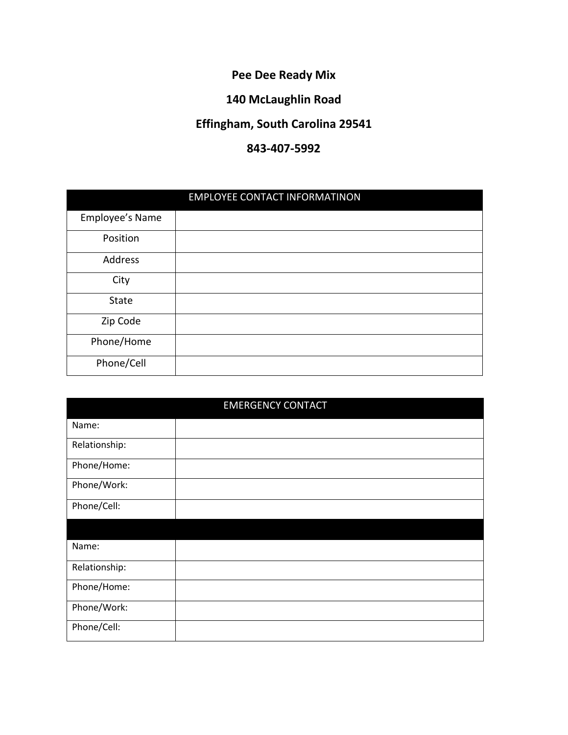# **Pee Dee Ready Mix**

# **140 McLaughlin Road**

# **Effingham, South Carolina 29541**

# **843-407-5992**

|                 | <b>EMPLOYEE CONTACT INFORMATINON</b> |  |  |  |  |  |
|-----------------|--------------------------------------|--|--|--|--|--|
| Employee's Name |                                      |  |  |  |  |  |
| Position        |                                      |  |  |  |  |  |
| Address         |                                      |  |  |  |  |  |
| City            |                                      |  |  |  |  |  |
| <b>State</b>    |                                      |  |  |  |  |  |
| Zip Code        |                                      |  |  |  |  |  |
| Phone/Home      |                                      |  |  |  |  |  |
| Phone/Cell      |                                      |  |  |  |  |  |

| <b>EMERGENCY CONTACT</b> |  |  |  |  |  |
|--------------------------|--|--|--|--|--|
| Name:                    |  |  |  |  |  |
| Relationship:            |  |  |  |  |  |
| Phone/Home:              |  |  |  |  |  |
| Phone/Work:              |  |  |  |  |  |
| Phone/Cell:              |  |  |  |  |  |
|                          |  |  |  |  |  |
| Name:                    |  |  |  |  |  |
| Relationship:            |  |  |  |  |  |
| Phone/Home:              |  |  |  |  |  |
| Phone/Work:              |  |  |  |  |  |
| Phone/Cell:              |  |  |  |  |  |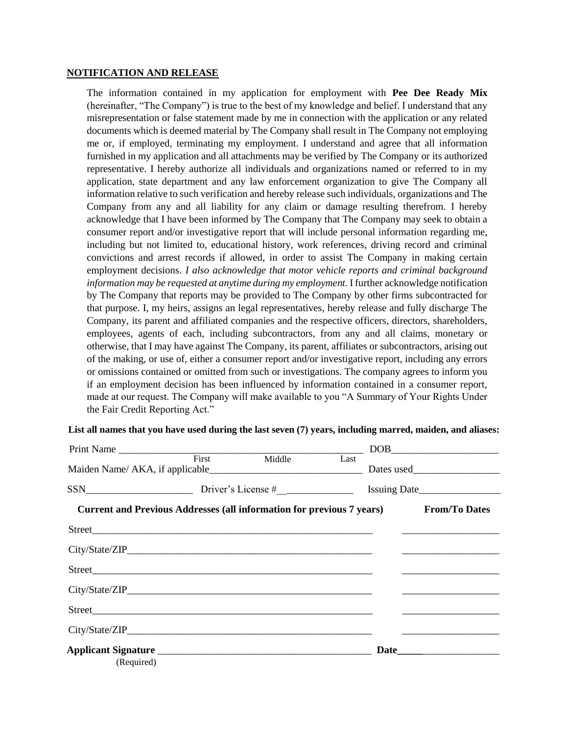#### **NOTIFICATION AND RELEASE**

The information contained in my application for employment with **Pee Dee Ready Mix** (hereinafter, "The Company") is true to the best of my knowledge and belief. I understand that any misrepresentation or false statement made by me in connection with the application or any related documents which is deemed material by The Company shall result in The Company not employing me or, if employed, terminating my employment. I understand and agree that all information furnished in my application and all attachments may be verified by The Company or its authorized representative. I hereby authorize all individuals and organizations named or referred to in my application, state department and any law enforcement organization to give The Company all information relative to such verification and hereby release such individuals, organizations and The Company from any and all liability for any claim or damage resulting therefrom. I hereby acknowledge that I have been informed by The Company that The Company may seek to obtain a consumer report and/or investigative report that will include personal information regarding me, including but not limited to, educational history, work references, driving record and criminal convictions and arrest records if allowed, in order to assist The Company in making certain employment decisions. *I also acknowledge that motor vehicle reports and criminal background information may be requested at anytime during my employment.* I further acknowledge notification by The Company that reports may be provided to The Company by other firms subcontracted for that purpose. I, my heirs, assigns an legal representatives, hereby release and fully discharge The Company, its parent and affiliated companies and the respective officers, directors, shareholders, employees, agents of each, including subcontractors, from any and all claims, monetary or otherwise, that I may have against The Company, its parent, affiliates or subcontractors, arising out of the making, or use of, either a consumer report and/or investigative report, including any errors or omissions contained or omitted from such or investigations. The company agrees to inform you if an employment decision has been influenced by information contained in a consumer report, made at our request. The Company will make available to you "A Summary of Your Rights Under the Fair Credit Reporting Act."

#### **List all names that you have used during the last seven (7) years, including marred, maiden, and aliases:**

| Print Name |       |        |      | $\boxed{\text{DOB}}_{\text{max}}$                                                          |
|------------|-------|--------|------|--------------------------------------------------------------------------------------------|
|            | First | Middle | Last |                                                                                            |
|            |       |        |      |                                                                                            |
|            |       |        |      | <b>Current and Previous Addresses (all information for previous 7 years) From/To Dates</b> |
|            |       |        |      |                                                                                            |
|            |       |        |      |                                                                                            |
|            |       |        |      |                                                                                            |
|            |       |        |      |                                                                                            |
|            |       |        |      |                                                                                            |
|            |       |        |      |                                                                                            |
| (Required) |       |        |      |                                                                                            |